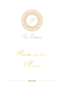

Le Premier





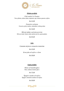

## *Hladna predjela*

*Club sendvič Le Premier*  Tost, piletina, zelena salata, majoneza, jaje, hrskava panceta, rajčica

*Kn.52,00*

*Focaccia s pršutom*  Focaccia, pršut, maslac, camembert, iceberg salata

*Kn 54,00*

*Rib-eye salata s pečenim povrćem*  Rib-eye steak, lisnate salate, pečeno povrće, grana padano

*Kn.95,00*

# *Juhe*

*Consome od pivca s domaćim rezancima*

*Kn.35,00*

*Krem juha od rajčice s rižom*

*Kn.30,00*

## *Topla predjela*

*Rižoto od šumskih gljiva*  Riža, izabrane šumske gljive

*Kn.75,00*

*Špageti u umaku od rajčice*  Špageti s domaćim umakom od rajčice

*Kn.50,00*

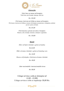

### *Glavna jela*

*Teleći kare uz mouse od krumpira*  Teleći kare, pire krumpir, šparoge, teleći jus

*Kn. 165,00*

*File lososa s koricom od chilija uz mouse od krumpira*  File lososa s koricom od chilija uz mouse od krumpira aromatiziran s češnjakom, jouliene povrće i pesto od rikule

*Kn.135,00*

*File brancina s pireom od celera i krumpira*  Brancin, celer, krumpir, komorač, začinjeno s agrumima

*Kn. 150,00*

# *Deserti*

*Ekler od bijele čokolade s gelom od malina*

*Kn.42,00*

*Ekler od tamne čokolade s gelom od šumskog voća*

*Kn. 42,00*

*Mousse od lješnjaka s biskvitom od tamne čokolade*

*Kn. 40,00*

 *Izbor nacionalnih i internacionalnih sireva*

*Kn. 80,00*

*Usluga servisa u sobu je dostupna od 12,00 - 22,00h Usluga servisa u sobu se naplaćuje 30,00 Kn.*

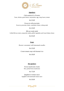

### *Appetizers*

*Club sandwich Le Premier*  Toast, chicken, green lettuce, mayonnaise, egg, crispy bacon, tomato

#### *Kn.55,00*

*Focaccia with prosciutto*  Focaccia, prosciutto, butter, camembert cheese, iceberg salad

### *Kn 45,00*

*Rib-eye steak salad*  Grilled Rib-eye steak, young leafy salads, grilled vegetables and Grana Padano cheese

*Kn.95,00*

## *Soups*

*Rooster consommé with homemade noodles*

*Kn.35,00*

*Cream tomato soup with basmati rice*

*Kn.30,00*

## *Hot apetizers*

*Forest mushrooms risotto*  Rice, picked forest mushrooms

*Kn.75,00*

*Spaghetti in tomato sauce*  Spaghetti with homemade tomato sauce

*Kn.50,00*